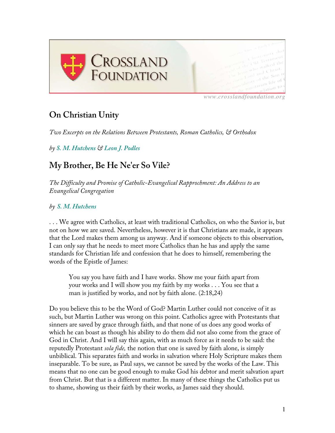

*www.crosslandfoundation.org*

# **On Christian Unity**

*Two Excerpts on the Relations Between Protestants, Roman Catholics, & Orthodox*

*by S. M. Hutchens & Leon J. Podles*

# **My Brother, Be He Ne'er So Vile?**

*The Difficulty and Promise of Catholic-Evangelical Rapprochment: An Address to an Evangelical Congregation*

### *by S. M. Hutchens*

. . . We agree with Catholics, at least with traditional Catholics, on who the Savior is, but not on how we are saved. Nevertheless, however it is that Christians are made, it appears that the Lord makes them among us anyway. And if someone objects to this observation, I can only say that he needs to meet more Catholics than he has and apply the same standards for Christian life and confession that he does to himself, remembering the words of the Epistle of James:

You say you have faith and I have works. Show me your faith apart from your works and I will show you my faith by my works . . . You see that a man is justified by works, and not by faith alone. (2:18,24)

Do you believe this to be the Word of God? Martin Luther could not conceive of it as such, but Martin Luther was wrong on this point. Catholics agree with Protestants that sinners are saved by grace through faith, and that none of us does any good works of which he can boast as though his ability to do them did not also come from the grace of God in Christ. And I will say this again, with as much force as it needs to be said: the reputedly Protestant *sola fide,* the notion that one is saved by faith alone, is simply unbiblical. This separates faith and works in salvation where Holy Scripture makes them inseparable. To be sure, as Paul says, we cannot be saved by the works of the Law. This means that no one can be good enough to make God his debtor and merit salvation apart from Christ. But that is a different matter. In many of these things the Catholics put us to shame, showing us their faith by their works, as James said they should.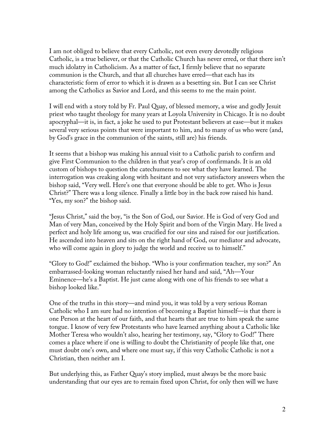I am not obliged to believe that every Catholic, not even every devotedly religious Catholic, is a true believer, or that the Catholic Church has never erred, or that there isn't much idolatry in Catholicism. As a matter of fact, I firmly believe that no separate communion is the Church, and that all churches have erred—that each has its characteristic form of error to which it is drawn as a besetting sin. But I can see Christ among the Catholics as Savior and Lord, and this seems to me the main point.

I will end with a story told by Fr. Paul Quay, of blessed memory, a wise and godly Jesuit priest who taught theology for many years at Loyola University in Chicago. It is no doubt apocryphal—it is, in fact, a joke he used to put Protestant believers at ease—but it makes several very serious points that were important to him, and to many of us who were (and, by God's grace in the communion of the saints, still are) his friends.

It seems that a bishop was making his annual visit to a Catholic parish to confirm and give First Communion to the children in that year's crop of confirmands. It is an old custom of bishops to question the catechumens to see what they have learned. The interrogation was creaking along with hesitant and not very satisfactory answers when the bishop said, "Very well. Here's one that everyone should be able to get. Who is Jesus Christ?" There was a long silence. Finally a little boy in the back row raised his hand. "Yes, my son?" the bishop said.

"Jesus Christ," said the boy, "is the Son of God, our Savior. He is God of very God and Man of very Man, conceived by the Holy Spirit and born of the Virgin Mary. He lived a perfect and holy life among us, was crucified for our sins and raised for our justification. He ascended into heaven and sits on the right hand of God, our mediator and advocate, who will come again in glory to judge the world and receive us to himself."

"Glory to God!" exclaimed the bishop. "Who is your confirmation teacher, my son?" An embarrassed-looking woman reluctantly raised her hand and said, "Ah—Your Eminence—he's a Baptist. He just came along with one of his friends to see what a bishop looked like."

One of the truths in this story—and mind you, it was told by a very serious Roman Catholic who I am sure had no intention of becoming a Baptist himself—is that there is one Person at the heart of our faith, and that hearts that are true to him speak the same tongue. I know of very few Protestants who have learned anything about a Catholic like Mother Teresa who wouldn't also, hearing her testimony, say, "Glory to God!" There comes a place where if one is willing to doubt the Christianity of people like that, one must doubt one's own, and where one must say, if this very Catholic Catholic is not a Christian, then neither am I.

But underlying this, as Father Quay's story implied, must always be the more basic understanding that our eyes are to remain fixed upon Christ, for only then will we have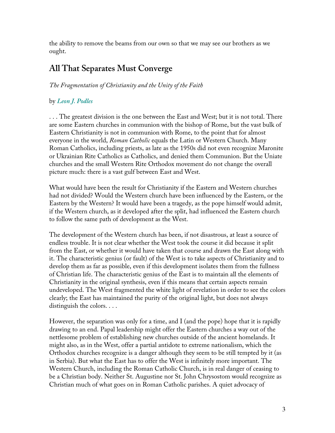the ability to remove the beams from our own so that we may see our brothers as we ought.

## **All That Separates Must Converge**

*The Fragmentation of Christianity and the Unity of the Faith*

### by *Leon J. Podles*

. . . The greatest division is the one between the East and West; but it is not total. There are some Eastern churches in communion with the bishop of Rome, but the vast bulk of Eastern Christianity is not in communion with Rome, to the point that for almost everyone in the world, *Roman Catholic* equals the Latin or Western Church. Many Roman Catholics, including priests, as late as the 1950s did not even recognize Maronite or Ukrainian Rite Catholics as Catholics, and denied them Communion. But the Uniate churches and the small Western Rite Orthodox movement do not change the overall picture much: there is a vast gulf between East and West.

What would have been the result for Christianity if the Eastern and Western churches had not divided? Would the Western church have been influenced by the Eastern, or the Eastern by the Western? It would have been a tragedy, as the pope himself would admit, if the Western church, as it developed after the split, had influenced the Eastern church to follow the same path of development as the West.

The development of the Western church has been, if not disastrous, at least a source of endless trouble. It is not clear whether the West took the course it did because it split from the East, or whether it would have taken that course and drawn the East along with it. The characteristic genius (or fault) of the West is to take aspects of Christianity and to develop them as far as possible, even if this development isolates them from the fullness of Christian life. The characteristic genius of the East is to maintain all the elements of Christianity in the original synthesis, even if this means that certain aspects remain undeveloped. The West fragmented the white light of revelation in order to see the colors clearly; the East has maintained the purity of the original light, but does not always distinguish the colors. . . .

However, the separation was only for a time, and I (and the pope) hope that it is rapidly drawing to an end. Papal leadership might offer the Eastern churches a way out of the nettlesome problem of establishing new churches outside of the ancient homelands. It might also, as in the West, offer a partial antidote to extreme nationalism, which the Orthodox churches recognize is a danger although they seem to be still tempted by it (as in Serbia). But what the East has to offer the West is infinitely more important. The Western Church, including the Roman Catholic Church, is in real danger of ceasing to be a Christian body. Neither St. Augustine nor St. John Chrysostom would recognize as Christian much of what goes on in Roman Catholic parishes. A quiet advocacy of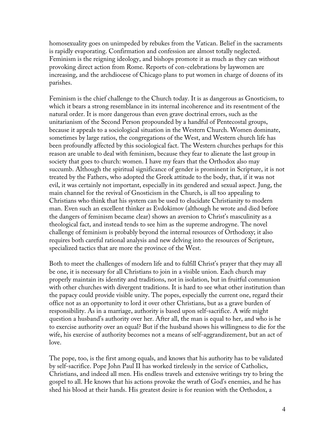homosexuality goes on unimpeded by rebukes from the Vatican. Belief in the sacraments is rapidly evaporating. Confirmation and confession are almost totally neglected. Feminism is the reigning ideology, and bishops promote it as much as they can without provoking direct action from Rome. Reports of con-celebrations by laywomen are increasing, and the archdiocese of Chicago plans to put women in charge of dozens of its parishes.

Feminism is the chief challenge to the Church today. It is as dangerous as Gnosticism, to which it bears a strong resemblance in its internal incoherence and its resentment of the natural order. It is more dangerous than even grave doctrinal errors, such as the unitarianism of the Second Person propounded by a handful of Pentecostal groups, because it appeals to a sociological situation in the Western Church. Women dominate, sometimes by large ratios, the congregations of the West, and Western church life has been profoundly affected by this sociological fact. The Western churches perhaps for this reason are unable to deal with feminism, because they fear to alienate the last group in society that goes to church: women. I have my fears that the Orthodox also may succumb. Although the spiritual significance of gender is prominent in Scripture, it is not treated by the Fathers, who adopted the Greek attitude to the body, that, if it was not evil, it was certainly not important, especially in its gendered and sexual aspect. Jung, the main channel for the revival of Gnosticism in the Church, is all too appealing to Christians who think that his system can be used to elucidate Christianity to modern man. Even such an excellent thinker as Evdokimov (although he wrote and died before the dangers of feminism became clear) shows an aversion to Christ's masculinity as a theological fact, and instead tends to see him as the supreme androgyne. The novel challenge of feminism is probably beyond the internal resources of Orthodoxy; it also requires both careful rational analysis and new delving into the resources of Scripture, specialized tactics that are more the province of the West.

Both to meet the challenges of modern life and to fulfill Christ's prayer that they may all be one, it is necessary for all Christians to join in a visible union. Each church may properly maintain its identity and traditions, not in isolation, but in fruitful communion with other churches with divergent traditions. It is hard to see what other institution than the papacy could provide visible unity. The popes, especially the current one, regard their office not as an opportunity to lord it over other Christians, but as a grave burden of responsibility. As in a marriage, authority is based upon self-sacrifice. A wife might question a husband's authority over her. After all, the man is equal to her, and who is he to exercise authority over an equal? But if the husband shows his willingness to die for the wife, his exercise of authority becomes not a means of self-aggrandizement, but an act of love.

The pope, too, is the first among equals, and knows that his authority has to be validated by self-sacrifice. Pope John Paul II has worked tirelessly in the service of Catholics, Christians, and indeed all men. His endless travels and extensive writings try to bring the gospel to all. He knows that his actions provoke the wrath of God's enemies, and he has shed his blood at their hands. His greatest desire is for reunion with the Orthodox, a